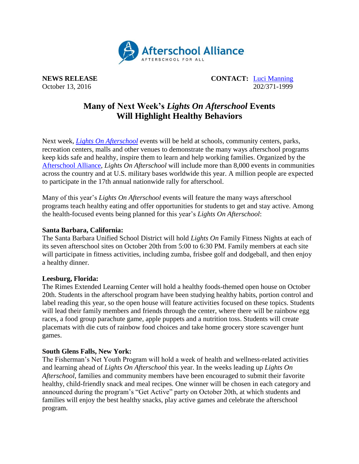

**NEWS RELEASE CONTACT:** [Luci Manning](mailto:luci@prsolutionsdc.com) October 13, 2016 202/371-1999

# **Many of Next Week's** *Lights On Afterschool* **Events Will Highlight Healthy Behaviors**

Next week, *[Lights On Afterschool](http://www.afterschoolalliance.org/loa.cfm)* events will be held at schools, community centers, parks, recreation centers, malls and other venues to demonstrate the many ways afterschool programs keep kids safe and healthy, inspire them to learn and help working families. Organized by the [Afterschool Alliance,](http://www.afterschoolalliance.org/) *Lights On Afterschool* will include more than 8,000 events in communities across the country and at U.S. military bases worldwide this year. A million people are expected to participate in the 17th annual nationwide rally for afterschool.

Many of this year's *Lights On Afterschool* events will feature the many ways afterschool programs teach healthy eating and offer opportunities for students to get and stay active. Among the health-focused events being planned for this year's *Lights On Afterschool*:

## **Santa Barbara, California:**

The Santa Barbara Unified School District will hold *Lights On* Family Fitness Nights at each of its seven afterschool sites on October 20th from 5:00 to 6:30 PM. Family members at each site will participate in fitness activities, including zumba, frisbee golf and dodgeball, and then enjoy a healthy dinner.

### **Leesburg, Florida:**

The Rimes Extended Learning Center will hold a healthy foods-themed open house on October 20th. Students in the afterschool program have been studying healthy habits, portion control and label reading this year, so the open house will feature activities focused on these topics. Students will lead their family members and friends through the center, where there will be rainbow egg races, a food group parachute game, apple puppets and a nutrition toss. Students will create placemats with die cuts of rainbow food choices and take home grocery store scavenger hunt games.

### **South Glens Falls, New York:**

The Fisherman's Net Youth Program will hold a week of health and wellness-related activities and learning ahead of *Lights On Afterschool* this year. In the weeks leading up *Lights On Afterschool*, families and community members have been encouraged to submit their favorite healthy, child-friendly snack and meal recipes. One winner will be chosen in each category and announced during the program's "Get Active" party on October 20th, at which students and families will enjoy the best healthy snacks, play active games and celebrate the afterschool program.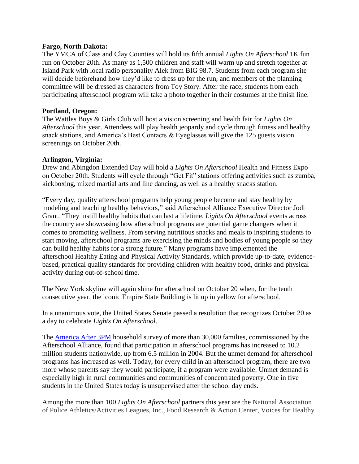#### **Fargo, North Dakota:**

The YMCA of Class and Clay Counties will hold its fifth annual *Lights On Afterschool* 1K fun run on October 20th. As many as 1,500 children and staff will warm up and stretch together at Island Park with local radio personality Alek from BIG 98.7. Students from each program site will decide beforehand how they'd like to dress up for the run, and members of the planning committee will be dressed as characters from Toy Story. After the race, students from each participating afterschool program will take a photo together in their costumes at the finish line.

### **Portland, Oregon:**

The Wattles Boys & Girls Club will host a vision screening and health fair for *Lights On Afterschool* this year. Attendees will play health jeopardy and cycle through fitness and healthy snack stations, and America's Best Contacts & Eyeglasses will give the 125 guests vision screenings on October 20th.

### **Arlington, Virginia:**

Drew and Abingdon Extended Day will hold a *Lights On Afterschool* Health and Fitness Expo on October 20th. Students will cycle through "Get Fit" stations offering activities such as zumba, kickboxing, mixed martial arts and line dancing, as well as a healthy snacks station.

"Every day, quality afterschool programs help young people become and stay healthy by modeling and teaching healthy behaviors," said Afterschool Alliance Executive Director Jodi Grant. "They instill healthy habits that can last a lifetime. *Lights On Afterschool* events across the country are showcasing how afterschool programs are potential game changers when it comes to promoting wellness. From serving nutritious snacks and meals to inspiring students to start moving, afterschool programs are exercising the minds and bodies of young people so they can build healthy habits for a strong future." Many programs have implemented the afterschool Healthy Eating and Physical Activity Standards, which provide up-to-date, evidencebased, practical quality standards for providing children with healthy food, drinks and physical activity during out-of-school time.

The New York skyline will again shine for afterschool on October 20 when, for the tenth consecutive year, the iconic Empire State Building is lit up in yellow for afterschool.

In a unanimous vote, the United States Senate passed a resolution that recognizes October 20 as a day to celebrate *Lights On Afterschool*.

The **America After 3PM** household survey of more than 30,000 families, commissioned by the Afterschool Alliance, found that participation in afterschool programs has increased to 10.2 million students nationwide, up from 6.5 million in 2004. But the unmet demand for afterschool programs has increased as well. Today, for every child in an afterschool program, there are two more whose parents say they would participate, if a program were available. Unmet demand is especially high in rural communities and communities of concentrated poverty. One in five students in the United States today is unsupervised after the school day ends.

Among the more than 100 *Lights On Afterschool* partners this year are the National Association of Police Athletics/Activities Leagues, Inc., Food Research & Action Center, Voices for Healthy